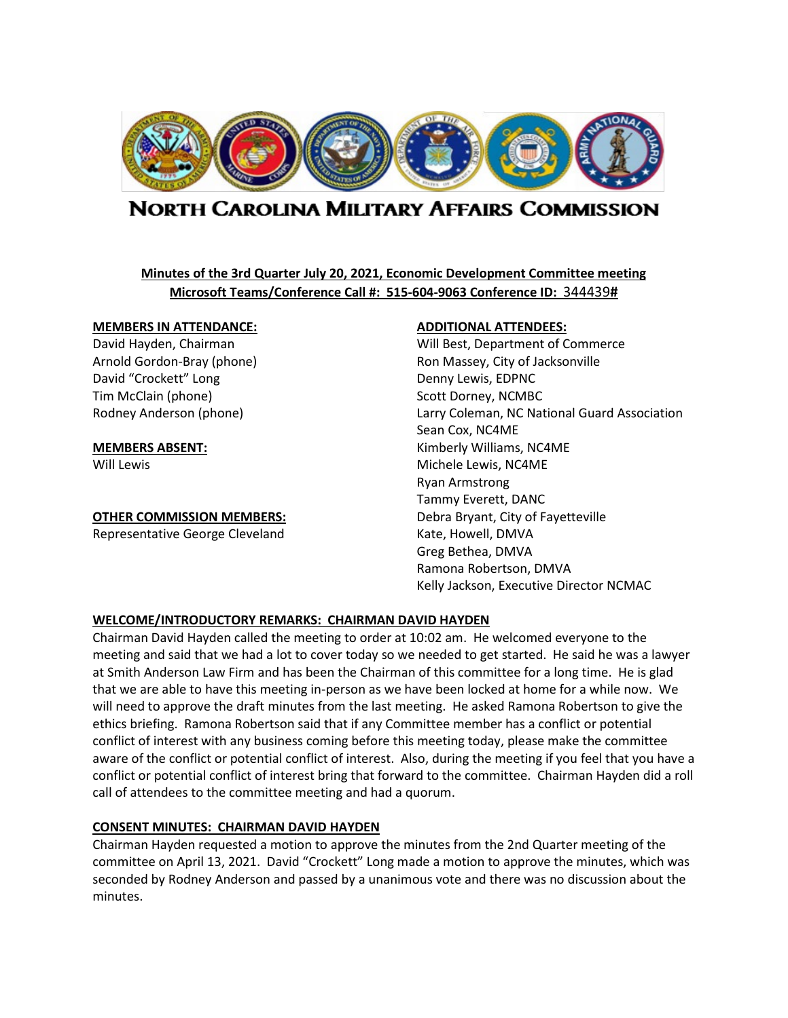

# **NORTH CAROLINA MILITARY AFFAIRS COMMISSION**

# **Minutes of the 3rd Quarter July 20, 2021, Economic Development Committee meeting Microsoft Teams/Conference Call #: 515-604-9063 Conference ID:** 344439**#**

#### **MEMBERS IN ATTENDANCE: ADDITIONAL ATTENDEES:**

David "Crockett" Long Denny Lewis, EDPNC Tim McClain (phone) Scott Dorney, NCMBC

**OTHER COMMISSION MEMBERS:** Debra Bryant, City of Fayetteville

Representative George Cleveland Kate, Howell, DMVA

David Hayden, Chairman Will Best, Department of Commerce Arnold Gordon-Bray (phone) The Ron Massey, City of Jacksonville Rodney Anderson (phone) Larry Coleman, NC National Guard Association Sean Cox, NC4ME **MEMBERS ABSENT:** Kimberly Williams, NC4ME Will Lewis **Michele Lewis, NC4ME** Ryan Armstrong Tammy Everett, DANC Greg Bethea, DMVA Ramona Robertson, DMVA Kelly Jackson, Executive Director NCMAC

#### **WELCOME/INTRODUCTORY REMARKS: CHAIRMAN DAVID HAYDEN**

Chairman David Hayden called the meeting to order at 10:02 am. He welcomed everyone to the meeting and said that we had a lot to cover today so we needed to get started. He said he was a lawyer at Smith Anderson Law Firm and has been the Chairman of this committee for a long time. He is glad that we are able to have this meeting in-person as we have been locked at home for a while now. We will need to approve the draft minutes from the last meeting. He asked Ramona Robertson to give the ethics briefing. Ramona Robertson said that if any Committee member has a conflict or potential conflict of interest with any business coming before this meeting today, please make the committee aware of the conflict or potential conflict of interest. Also, during the meeting if you feel that you have a conflict or potential conflict of interest bring that forward to the committee. Chairman Hayden did a roll call of attendees to the committee meeting and had a quorum.

# **CONSENT MINUTES: CHAIRMAN DAVID HAYDEN**

Chairman Hayden requested a motion to approve the minutes from the 2nd Quarter meeting of the committee on April 13, 2021. David "Crockett" Long made a motion to approve the minutes, which was seconded by Rodney Anderson and passed by a unanimous vote and there was no discussion about the minutes.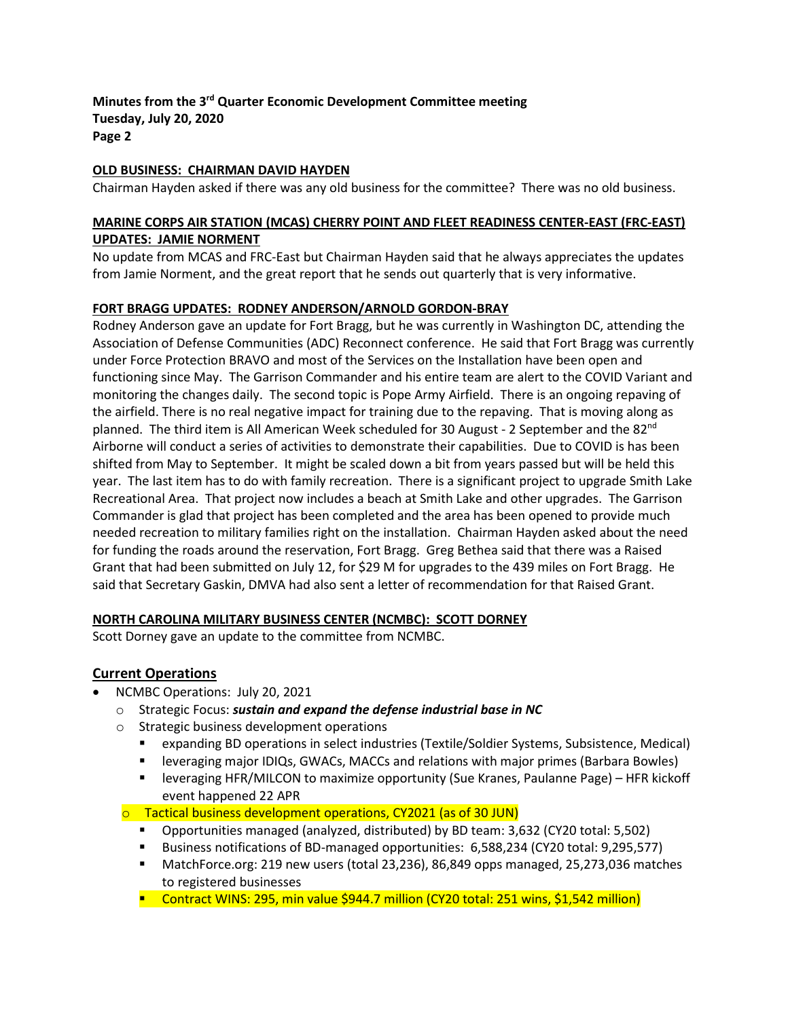#### **OLD BUSINESS: CHAIRMAN DAVID HAYDEN**

Chairman Hayden asked if there was any old business for the committee? There was no old business.

#### **MARINE CORPS AIR STATION (MCAS) CHERRY POINT AND FLEET READINESS CENTER-EAST (FRC-EAST) UPDATES: JAMIE NORMENT**

No update from MCAS and FRC-East but Chairman Hayden said that he always appreciates the updates from Jamie Norment, and the great report that he sends out quarterly that is very informative.

#### **FORT BRAGG UPDATES: RODNEY ANDERSON/ARNOLD GORDON-BRAY**

Rodney Anderson gave an update for Fort Bragg, but he was currently in Washington DC, attending the Association of Defense Communities (ADC) Reconnect conference. He said that Fort Bragg was currently under Force Protection BRAVO and most of the Services on the Installation have been open and functioning since May. The Garrison Commander and his entire team are alert to the COVID Variant and monitoring the changes daily. The second topic is Pope Army Airfield. There is an ongoing repaving of the airfield. There is no real negative impact for training due to the repaving. That is moving along as planned. The third item is All American Week scheduled for 30 August - 2 September and the 82<sup>nd</sup> Airborne will conduct a series of activities to demonstrate their capabilities. Due to COVID is has been shifted from May to September. It might be scaled down a bit from years passed but will be held this year. The last item has to do with family recreation. There is a significant project to upgrade Smith Lake Recreational Area. That project now includes a beach at Smith Lake and other upgrades. The Garrison Commander is glad that project has been completed and the area has been opened to provide much needed recreation to military families right on the installation. Chairman Hayden asked about the need for funding the roads around the reservation, Fort Bragg. Greg Bethea said that there was a Raised Grant that had been submitted on July 12, for \$29 M for upgrades to the 439 miles on Fort Bragg. He said that Secretary Gaskin, DMVA had also sent a letter of recommendation for that Raised Grant.

#### **NORTH CAROLINA MILITARY BUSINESS CENTER (NCMBC): SCOTT DORNEY**

Scott Dorney gave an update to the committee from NCMBC.

# **Current Operations**

- NCMBC Operations: July 20, 2021
	- o Strategic Focus: *sustain and expand the defense industrial base in NC*
	- o Strategic business development operations
		- expanding BD operations in select industries (Textile/Soldier Systems, Subsistence, Medical)
		- **EXECT** leveraging major IDIQs, GWACs, MACCs and relations with major primes (Barbara Bowles)
		- leveraging HFR/MILCON to maximize opportunity (Sue Kranes, Paulanne Page) HFR kickoff event happened 22 APR
	- $\circ$  Tactical business development operations, CY2021 (as of 30 JUN)
		- Opportunities managed (analyzed, distributed) by BD team: 3,632 (CY20 total: 5,502)
		- Business notifications of BD-managed opportunities: 6,588,234 (CY20 total: 9,295,577)
		- MatchForce.org: 219 new users (total 23,236), 86,849 opps managed, 25,273,036 matches to registered businesses
		- Contract WINS: 295, min value \$944.7 million (CY20 total: 251 wins, \$1,542 million)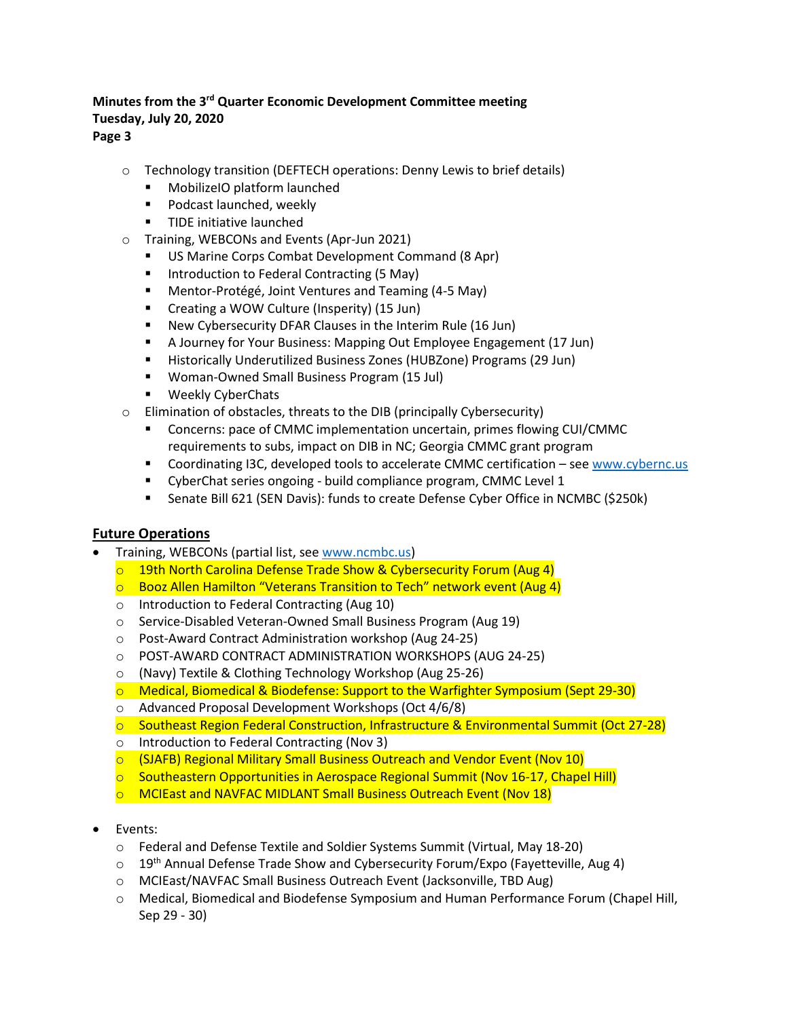# **Page 3**

- o Technology transition (DEFTECH operations: Denny Lewis to brief details)
	- MobilizeIO platform launched
	- **Podcast launched, weekly**
	- **TIDE** initiative launched
- o Training, WEBCONs and Events (Apr-Jun 2021)
	- US Marine Corps Combat Development Command (8 Apr)
	- Introduction to Federal Contracting (5 May)
	- Mentor-Protégé, Joint Ventures and Teaming (4-5 May)
	- Creating a WOW Culture (Insperity) (15 Jun)
	- New Cybersecurity DFAR Clauses in the Interim Rule (16 Jun)
	- A Journey for Your Business: Mapping Out Employee Engagement (17 Jun)
	- Historically Underutilized Business Zones (HUBZone) Programs (29 Jun)
	- Woman-Owned Small Business Program (15 Jul)
	- **Weekly CyberChats**
- o Elimination of obstacles, threats to the DIB (principally Cybersecurity)
	- Concerns: pace of CMMC implementation uncertain, primes flowing CUI/CMMC requirements to subs, impact on DIB in NC; Georgia CMMC grant program
	- Coordinating I3C, developed tools to accelerate CMMC certification see [www.cybernc.us](http://www.cybernc.us/)
	- CyberChat series ongoing build compliance program, CMMC Level 1
	- Senate Bill 621 (SEN Davis): funds to create Defense Cyber Office in NCMBC (\$250k)

# **Future Operations**

- Training, WEBCONs (partial list, see [www.ncmbc.us\)](http://www.ncmbc.us/)
	- o 19th North Carolina Defense Trade Show & Cybersecurity Forum (Aug 4)
	- o Booz Allen Hamilton "Veterans Transition to Tech" network event (Aug 4)
	- o Introduction to Federal Contracting (Aug 10)
	- o Service-Disabled Veteran-Owned Small Business Program (Aug 19)
	- o Post-Award Contract Administration workshop (Aug 24-25)
	- o POST-AWARD CONTRACT ADMINISTRATION WORKSHOPS (AUG 24-25)
	- o (Navy) Textile & Clothing Technology Workshop (Aug 25-26)
	- o Medical, Biomedical & Biodefense: Support to the Warfighter Symposium (Sept 29-30)
	- o Advanced Proposal Development Workshops (Oct 4/6/8)
	- o Southeast Region Federal Construction, Infrastructure & Environmental Summit (Oct 27-28)
	- o Introduction to Federal Contracting (Nov 3)
	- o (SJAFB) Regional Military Small Business Outreach and Vendor Event (Nov 10)
	- $\circ$  Southeastern Opportunities in Aerospace Regional Summit (Nov 16-17, Chapel Hill)
	- o MCIEast and NAVFAC MIDLANT Small Business Outreach Event (Nov 18)
- Events:
	- o Federal and Defense Textile and Soldier Systems Summit (Virtual, May 18-20)
	- $\circ$  19<sup>th</sup> Annual Defense Trade Show and Cybersecurity Forum/Expo (Fayetteville, Aug 4)
	- o MCIEast/NAVFAC Small Business Outreach Event (Jacksonville, TBD Aug)
	- o Medical, Biomedical and Biodefense Symposium and Human Performance Forum (Chapel Hill, Sep 29 - 30)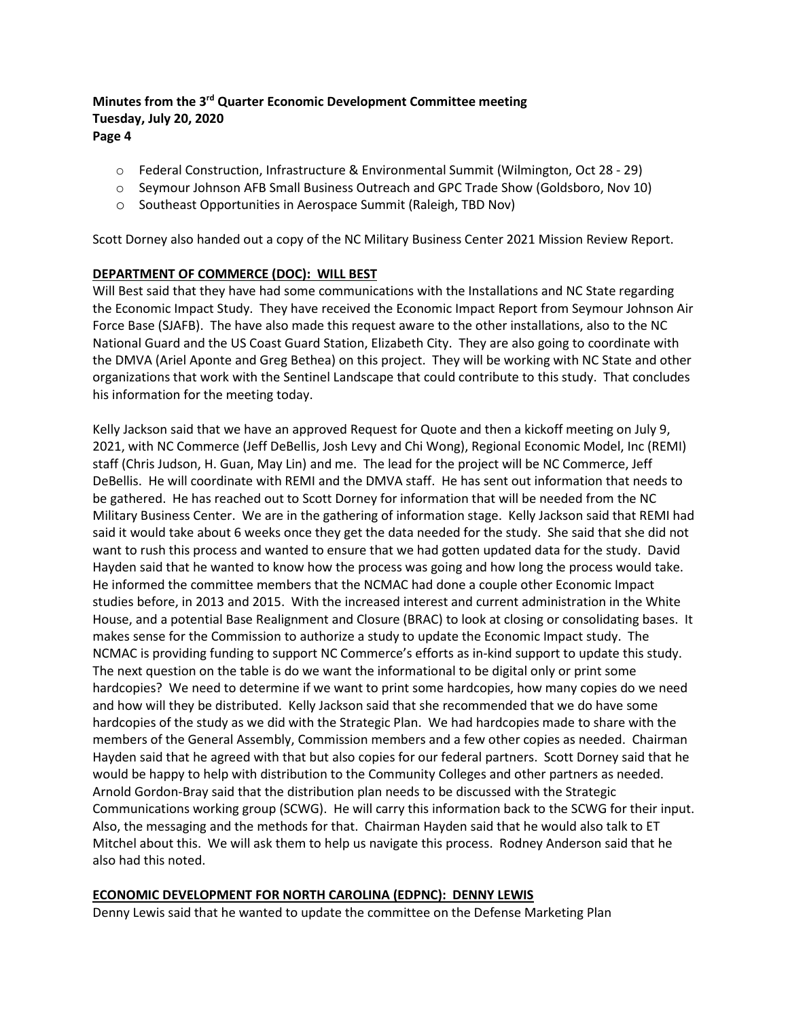- o Federal Construction, Infrastructure & Environmental Summit (Wilmington, Oct 28 29)
- o Seymour Johnson AFB Small Business Outreach and GPC Trade Show (Goldsboro, Nov 10)
- o Southeast Opportunities in Aerospace Summit (Raleigh, TBD Nov)

Scott Dorney also handed out a copy of the NC Military Business Center 2021 Mission Review Report.

#### **DEPARTMENT OF COMMERCE (DOC): WILL BEST**

Will Best said that they have had some communications with the Installations and NC State regarding the Economic Impact Study. They have received the Economic Impact Report from Seymour Johnson Air Force Base (SJAFB). The have also made this request aware to the other installations, also to the NC National Guard and the US Coast Guard Station, Elizabeth City. They are also going to coordinate with the DMVA (Ariel Aponte and Greg Bethea) on this project. They will be working with NC State and other organizations that work with the Sentinel Landscape that could contribute to this study. That concludes his information for the meeting today.

Kelly Jackson said that we have an approved Request for Quote and then a kickoff meeting on July 9, 2021, with NC Commerce (Jeff DeBellis, Josh Levy and Chi Wong), Regional Economic Model, Inc (REMI) staff (Chris Judson, H. Guan, May Lin) and me. The lead for the project will be NC Commerce, Jeff DeBellis. He will coordinate with REMI and the DMVA staff. He has sent out information that needs to be gathered. He has reached out to Scott Dorney for information that will be needed from the NC Military Business Center. We are in the gathering of information stage. Kelly Jackson said that REMI had said it would take about 6 weeks once they get the data needed for the study. She said that she did not want to rush this process and wanted to ensure that we had gotten updated data for the study. David Hayden said that he wanted to know how the process was going and how long the process would take. He informed the committee members that the NCMAC had done a couple other Economic Impact studies before, in 2013 and 2015. With the increased interest and current administration in the White House, and a potential Base Realignment and Closure (BRAC) to look at closing or consolidating bases. It makes sense for the Commission to authorize a study to update the Economic Impact study. The NCMAC is providing funding to support NC Commerce's efforts as in-kind support to update this study. The next question on the table is do we want the informational to be digital only or print some hardcopies? We need to determine if we want to print some hardcopies, how many copies do we need and how will they be distributed. Kelly Jackson said that she recommended that we do have some hardcopies of the study as we did with the Strategic Plan. We had hardcopies made to share with the members of the General Assembly, Commission members and a few other copies as needed. Chairman Hayden said that he agreed with that but also copies for our federal partners. Scott Dorney said that he would be happy to help with distribution to the Community Colleges and other partners as needed. Arnold Gordon-Bray said that the distribution plan needs to be discussed with the Strategic Communications working group (SCWG). He will carry this information back to the SCWG for their input. Also, the messaging and the methods for that. Chairman Hayden said that he would also talk to ET Mitchel about this. We will ask them to help us navigate this process. Rodney Anderson said that he also had this noted.

#### **ECONOMIC DEVELOPMENT FOR NORTH CAROLINA (EDPNC): DENNY LEWIS**

Denny Lewis said that he wanted to update the committee on the Defense Marketing Plan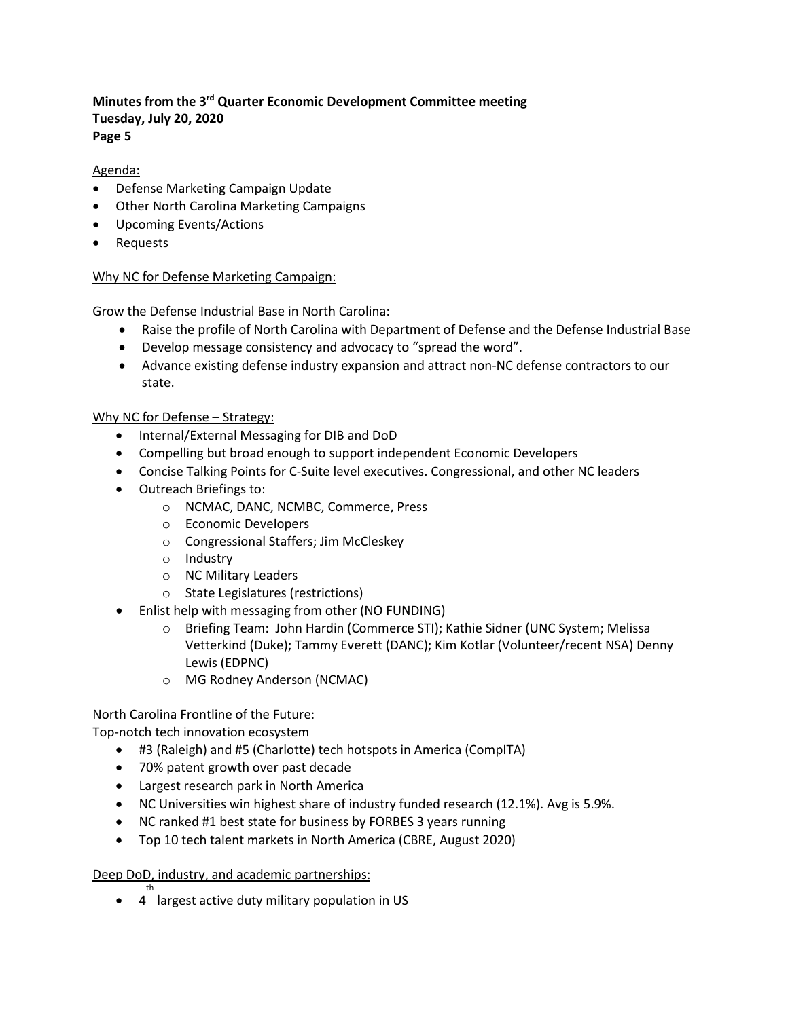### Agenda:

- Defense Marketing Campaign Update
- Other North Carolina Marketing Campaigns
- Upcoming Events/Actions
- Requests

### Why NC for Defense Marketing Campaign:

Grow the Defense Industrial Base in North Carolina:

- Raise the profile of North Carolina with Department of Defense and the Defense Industrial Base
- Develop message consistency and advocacy to "spread the word".
- Advance existing defense industry expansion and attract non-NC defense contractors to our state.

#### Why NC for Defense – Strategy:

- Internal/External Messaging for DIB and DoD
- Compelling but broad enough to support independent Economic Developers
- Concise Talking Points for C-Suite level executives. Congressional, and other NC leaders
- Outreach Briefings to:
	- o NCMAC, DANC, NCMBC, Commerce, Press
	- o Economic Developers
	- o Congressional Staffers; Jim McCleskey
	- o Industry
	- o NC Military Leaders
	- o State Legislatures (restrictions)
- Enlist help with messaging from other (NO FUNDING)
	- o Briefing Team: John Hardin (Commerce STI); Kathie Sidner (UNC System; Melissa Vetterkind (Duke); Tammy Everett (DANC); Kim Kotlar (Volunteer/recent NSA) Denny Lewis (EDPNC)
	- o MG Rodney Anderson (NCMAC)

#### North Carolina Frontline of the Future:

Top-notch tech innovation ecosystem

- #3 (Raleigh) and #5 (Charlotte) tech hotspots in America (CompITA)
- 70% patent growth over past decade
- Largest research park in North America
- NC Universities win highest share of industry funded research (12.1%). Avg is 5.9%.
- NC ranked #1 best state for business by FORBES 3 years running
- Top 10 tech talent markets in North America (CBRE, August 2020)

#### Deep DoD, industry, and academic partnerships:

• 4 largest active duty military population in USth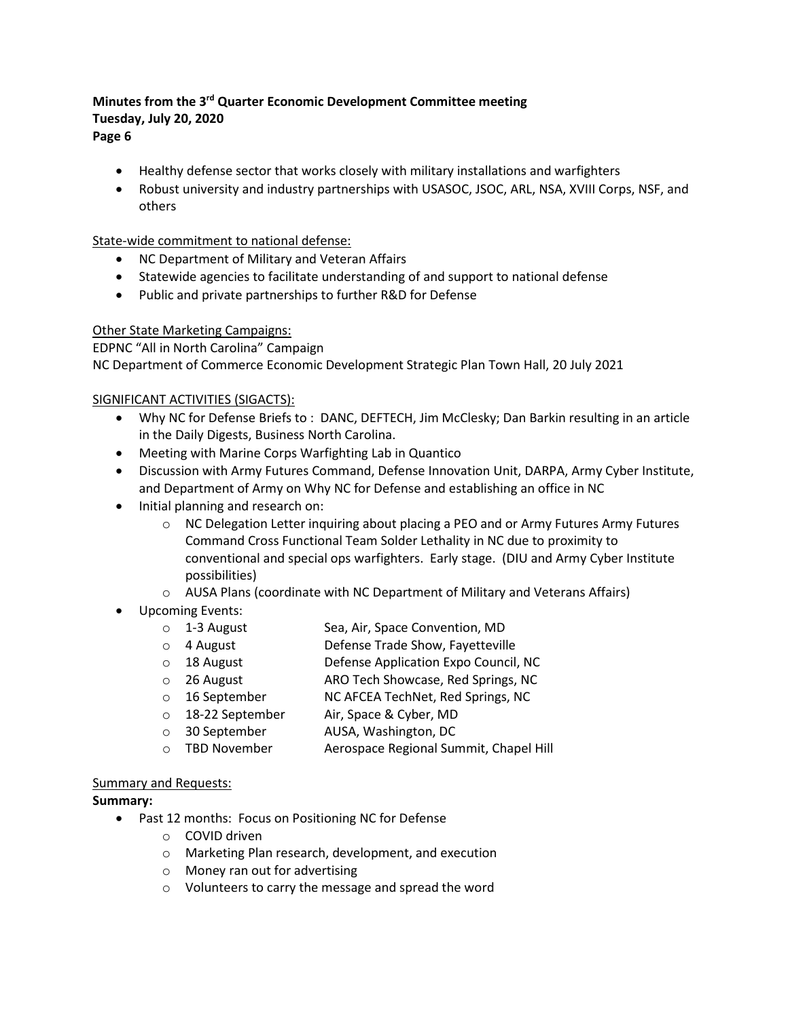- Healthy defense sector that works closely with military installations and warfighters
- Robust university and industry partnerships with USASOC, JSOC, ARL, NSA, XVIII Corps, NSF, and others

#### State-wide commitment to national defense:

- NC Department of Military and Veteran Affairs
- Statewide agencies to facilitate understanding of and support to national defense
- Public and private partnerships to further R&D for Defense

#### Other State Marketing Campaigns:

EDPNC "All in North Carolina" Campaign

NC Department of Commerce Economic Development Strategic Plan Town Hall, 20 July 2021

### SIGNIFICANT ACTIVITIES (SIGACTS):

- Why NC for Defense Briefs to : DANC, DEFTECH, Jim McClesky; Dan Barkin resulting in an article in the Daily Digests, Business North Carolina.
- Meeting with Marine Corps Warfighting Lab in Quantico
- Discussion with Army Futures Command, Defense Innovation Unit, DARPA, Army Cyber Institute, and Department of Army on Why NC for Defense and establishing an office in NC
- Initial planning and research on:
	- o NC Delegation Letter inquiring about placing a PEO and or Army Futures Army Futures Command Cross Functional Team Solder Lethality in NC due to proximity to conventional and special ops warfighters. Early stage. (DIU and Army Cyber Institute possibilities)
	- o AUSA Plans (coordinate with NC Department of Military and Veterans Affairs)
- Upcoming Events:
	- o 1-3 August Sea, Air, Space Convention, MD
	- o 4 August Defense Trade Show, Fayetteville
	- o 18 August Defense Application Expo Council, NC
	- o 26 August ARO Tech Showcase, Red Springs, NC
	- o 16 September NC AFCEA TechNet, Red Springs, NC
	- o 18-22 September Air, Space & Cyber, MD
	-
	- 30 September AUSA, Washington, DC<br>○ TBD November Aerospace Regional Sur Aerospace Regional Summit, Chapel Hill

#### Summary and Requests:

#### **Summary:**

- Past 12 months: Focus on Positioning NC for Defense
	- o COVID driven
	- o Marketing Plan research, development, and execution
	- o Money ran out for advertising
	- o Volunteers to carry the message and spread the word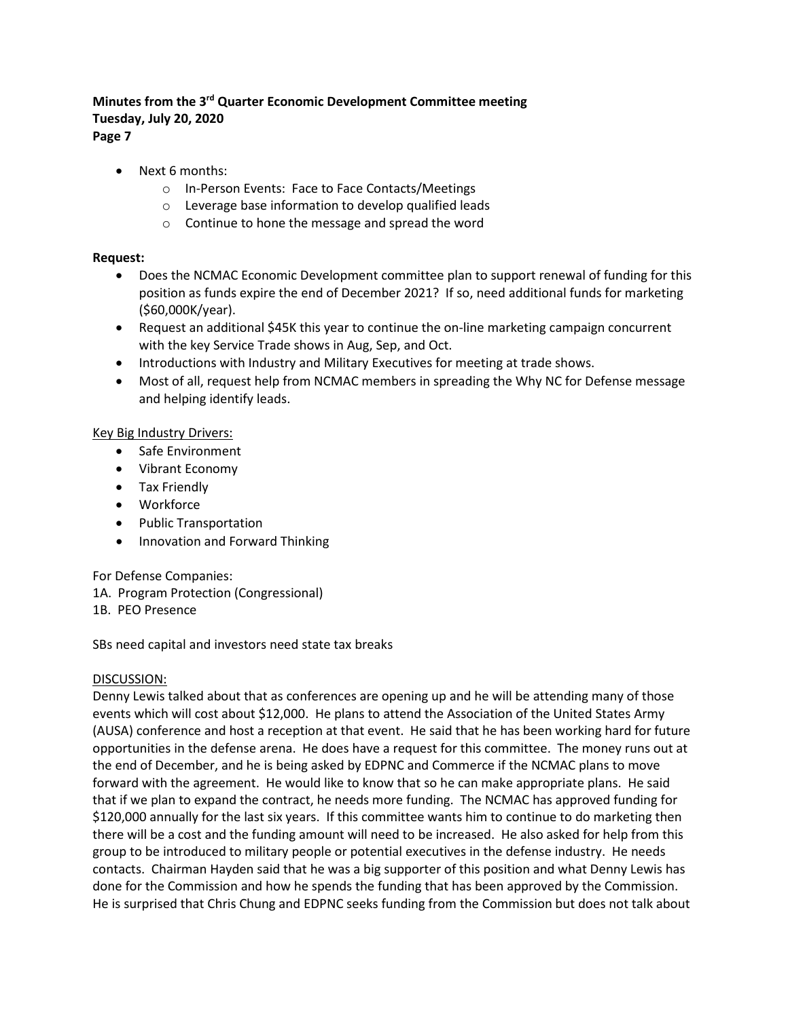- Next 6 months:
	- o In-Person Events: Face to Face Contacts/Meetings
	- o Leverage base information to develop qualified leads
	- o Continue to hone the message and spread the word

#### **Request:**

- Does the NCMAC Economic Development committee plan to support renewal of funding for this position as funds expire the end of December 2021? If so, need additional funds for marketing (\$60,000K/year).
- Request an additional \$45K this year to continue the on-line marketing campaign concurrent with the key Service Trade shows in Aug, Sep, and Oct.
- Introductions with Industry and Military Executives for meeting at trade shows.
- Most of all, request help from NCMAC members in spreading the Why NC for Defense message and helping identify leads.

#### Key Big Industry Drivers:

- Safe Environment
- Vibrant Economy
- Tax Friendly
- Workforce
- Public Transportation
- Innovation and Forward Thinking

For Defense Companies:

- 1A. Program Protection (Congressional)
- 1B. PEO Presence

SBs need capital and investors need state tax breaks

#### DISCUSSION:

Denny Lewis talked about that as conferences are opening up and he will be attending many of those events which will cost about \$12,000. He plans to attend the Association of the United States Army (AUSA) conference and host a reception at that event. He said that he has been working hard for future opportunities in the defense arena. He does have a request for this committee. The money runs out at the end of December, and he is being asked by EDPNC and Commerce if the NCMAC plans to move forward with the agreement. He would like to know that so he can make appropriate plans. He said that if we plan to expand the contract, he needs more funding. The NCMAC has approved funding for \$120,000 annually for the last six years. If this committee wants him to continue to do marketing then there will be a cost and the funding amount will need to be increased. He also asked for help from this group to be introduced to military people or potential executives in the defense industry. He needs contacts. Chairman Hayden said that he was a big supporter of this position and what Denny Lewis has done for the Commission and how he spends the funding that has been approved by the Commission. He is surprised that Chris Chung and EDPNC seeks funding from the Commission but does not talk about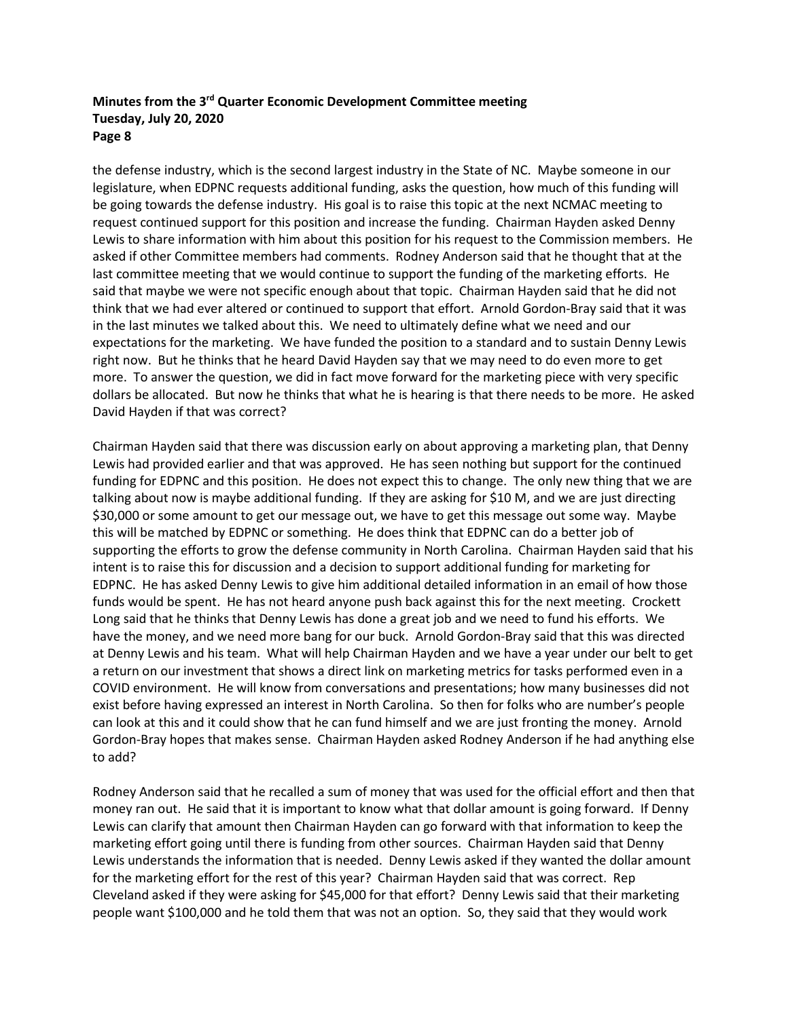the defense industry, which is the second largest industry in the State of NC. Maybe someone in our legislature, when EDPNC requests additional funding, asks the question, how much of this funding will be going towards the defense industry. His goal is to raise this topic at the next NCMAC meeting to request continued support for this position and increase the funding. Chairman Hayden asked Denny Lewis to share information with him about this position for his request to the Commission members. He asked if other Committee members had comments. Rodney Anderson said that he thought that at the last committee meeting that we would continue to support the funding of the marketing efforts. He said that maybe we were not specific enough about that topic. Chairman Hayden said that he did not think that we had ever altered or continued to support that effort. Arnold Gordon-Bray said that it was in the last minutes we talked about this. We need to ultimately define what we need and our expectations for the marketing. We have funded the position to a standard and to sustain Denny Lewis right now. But he thinks that he heard David Hayden say that we may need to do even more to get more. To answer the question, we did in fact move forward for the marketing piece with very specific dollars be allocated. But now he thinks that what he is hearing is that there needs to be more. He asked David Hayden if that was correct?

Chairman Hayden said that there was discussion early on about approving a marketing plan, that Denny Lewis had provided earlier and that was approved. He has seen nothing but support for the continued funding for EDPNC and this position. He does not expect this to change. The only new thing that we are talking about now is maybe additional funding. If they are asking for \$10 M, and we are just directing \$30,000 or some amount to get our message out, we have to get this message out some way. Maybe this will be matched by EDPNC or something. He does think that EDPNC can do a better job of supporting the efforts to grow the defense community in North Carolina. Chairman Hayden said that his intent is to raise this for discussion and a decision to support additional funding for marketing for EDPNC. He has asked Denny Lewis to give him additional detailed information in an email of how those funds would be spent. He has not heard anyone push back against this for the next meeting. Crockett Long said that he thinks that Denny Lewis has done a great job and we need to fund his efforts. We have the money, and we need more bang for our buck. Arnold Gordon-Bray said that this was directed at Denny Lewis and his team. What will help Chairman Hayden and we have a year under our belt to get a return on our investment that shows a direct link on marketing metrics for tasks performed even in a COVID environment. He will know from conversations and presentations; how many businesses did not exist before having expressed an interest in North Carolina. So then for folks who are number's people can look at this and it could show that he can fund himself and we are just fronting the money. Arnold Gordon-Bray hopes that makes sense. Chairman Hayden asked Rodney Anderson if he had anything else to add?

Rodney Anderson said that he recalled a sum of money that was used for the official effort and then that money ran out. He said that it is important to know what that dollar amount is going forward. If Denny Lewis can clarify that amount then Chairman Hayden can go forward with that information to keep the marketing effort going until there is funding from other sources. Chairman Hayden said that Denny Lewis understands the information that is needed. Denny Lewis asked if they wanted the dollar amount for the marketing effort for the rest of this year? Chairman Hayden said that was correct. Rep Cleveland asked if they were asking for \$45,000 for that effort? Denny Lewis said that their marketing people want \$100,000 and he told them that was not an option. So, they said that they would work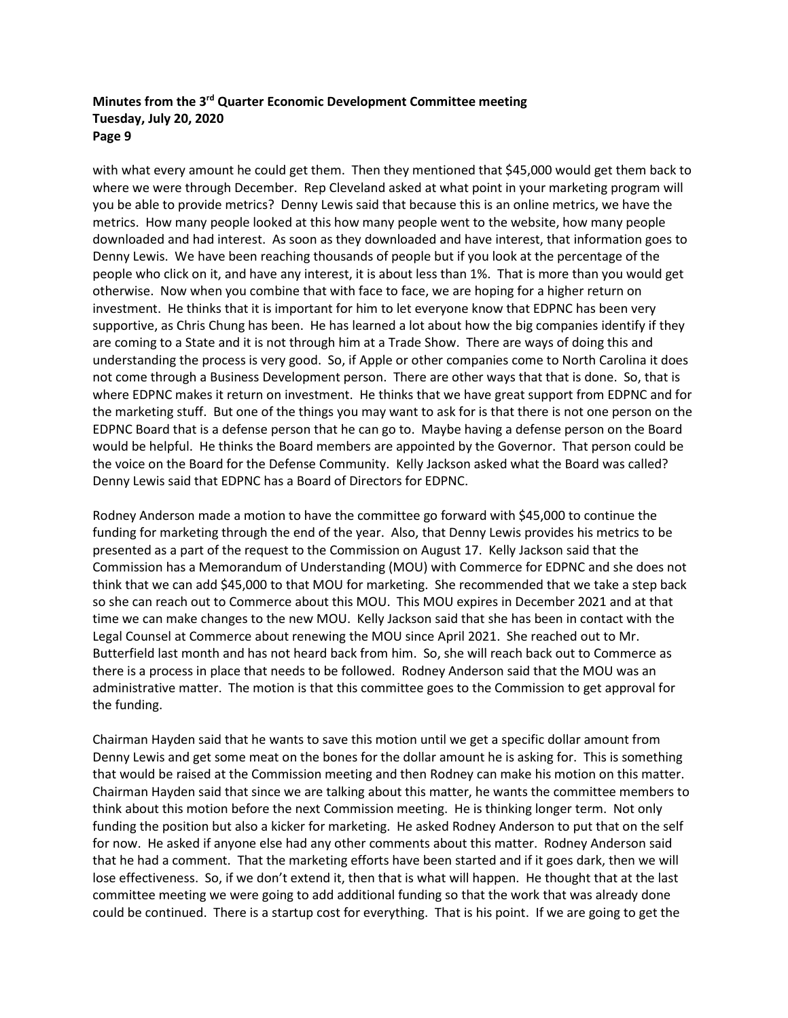with what every amount he could get them. Then they mentioned that \$45,000 would get them back to where we were through December. Rep Cleveland asked at what point in your marketing program will you be able to provide metrics? Denny Lewis said that because this is an online metrics, we have the metrics. How many people looked at this how many people went to the website, how many people downloaded and had interest. As soon as they downloaded and have interest, that information goes to Denny Lewis. We have been reaching thousands of people but if you look at the percentage of the people who click on it, and have any interest, it is about less than 1%. That is more than you would get otherwise. Now when you combine that with face to face, we are hoping for a higher return on investment. He thinks that it is important for him to let everyone know that EDPNC has been very supportive, as Chris Chung has been. He has learned a lot about how the big companies identify if they are coming to a State and it is not through him at a Trade Show. There are ways of doing this and understanding the process is very good. So, if Apple or other companies come to North Carolina it does not come through a Business Development person. There are other ways that that is done. So, that is where EDPNC makes it return on investment. He thinks that we have great support from EDPNC and for the marketing stuff. But one of the things you may want to ask for is that there is not one person on the EDPNC Board that is a defense person that he can go to. Maybe having a defense person on the Board would be helpful. He thinks the Board members are appointed by the Governor. That person could be the voice on the Board for the Defense Community. Kelly Jackson asked what the Board was called? Denny Lewis said that EDPNC has a Board of Directors for EDPNC.

Rodney Anderson made a motion to have the committee go forward with \$45,000 to continue the funding for marketing through the end of the year. Also, that Denny Lewis provides his metrics to be presented as a part of the request to the Commission on August 17. Kelly Jackson said that the Commission has a Memorandum of Understanding (MOU) with Commerce for EDPNC and she does not think that we can add \$45,000 to that MOU for marketing. She recommended that we take a step back so she can reach out to Commerce about this MOU. This MOU expires in December 2021 and at that time we can make changes to the new MOU. Kelly Jackson said that she has been in contact with the Legal Counsel at Commerce about renewing the MOU since April 2021. She reached out to Mr. Butterfield last month and has not heard back from him. So, she will reach back out to Commerce as there is a process in place that needs to be followed. Rodney Anderson said that the MOU was an administrative matter. The motion is that this committee goes to the Commission to get approval for the funding.

Chairman Hayden said that he wants to save this motion until we get a specific dollar amount from Denny Lewis and get some meat on the bones for the dollar amount he is asking for. This is something that would be raised at the Commission meeting and then Rodney can make his motion on this matter. Chairman Hayden said that since we are talking about this matter, he wants the committee members to think about this motion before the next Commission meeting. He is thinking longer term. Not only funding the position but also a kicker for marketing. He asked Rodney Anderson to put that on the self for now. He asked if anyone else had any other comments about this matter. Rodney Anderson said that he had a comment. That the marketing efforts have been started and if it goes dark, then we will lose effectiveness. So, if we don't extend it, then that is what will happen. He thought that at the last committee meeting we were going to add additional funding so that the work that was already done could be continued. There is a startup cost for everything. That is his point. If we are going to get the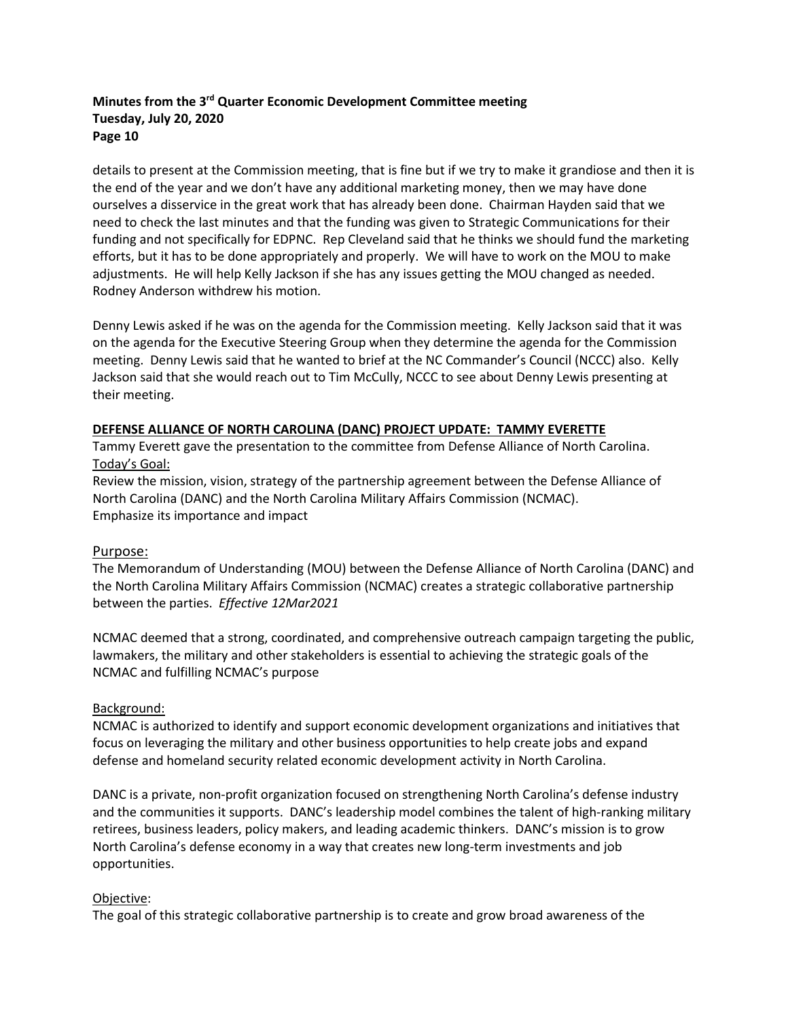details to present at the Commission meeting, that is fine but if we try to make it grandiose and then it is the end of the year and we don't have any additional marketing money, then we may have done ourselves a disservice in the great work that has already been done. Chairman Hayden said that we need to check the last minutes and that the funding was given to Strategic Communications for their funding and not specifically for EDPNC. Rep Cleveland said that he thinks we should fund the marketing efforts, but it has to be done appropriately and properly. We will have to work on the MOU to make adjustments. He will help Kelly Jackson if she has any issues getting the MOU changed as needed. Rodney Anderson withdrew his motion.

Denny Lewis asked if he was on the agenda for the Commission meeting. Kelly Jackson said that it was on the agenda for the Executive Steering Group when they determine the agenda for the Commission meeting. Denny Lewis said that he wanted to brief at the NC Commander's Council (NCCC) also. Kelly Jackson said that she would reach out to Tim McCully, NCCC to see about Denny Lewis presenting at their meeting.

### **DEFENSE ALLIANCE OF NORTH CAROLINA (DANC) PROJECT UPDATE: TAMMY EVERETTE**

Tammy Everett gave the presentation to the committee from Defense Alliance of North Carolina. Today's Goal:

Review the mission, vision, strategy of the partnership agreement between the Defense Alliance of North Carolina (DANC) and the North Carolina Military Affairs Commission (NCMAC). Emphasize its importance and impact

#### Purpose:

The Memorandum of Understanding (MOU) between the Defense Alliance of North Carolina (DANC) and the North Carolina Military Affairs Commission (NCMAC) creates a strategic collaborative partnership between the parties. *Effective 12Mar2021*

NCMAC deemed that a strong, coordinated, and comprehensive outreach campaign targeting the public, lawmakers, the military and other stakeholders is essential to achieving the strategic goals of the NCMAC and fulfilling NCMAC's purpose

#### Background:

NCMAC is authorized to identify and support economic development organizations and initiatives that focus on leveraging the military and other business opportunities to help create jobs and expand defense and homeland security related economic development activity in North Carolina.

DANC is a private, non-profit organization focused on strengthening North Carolina's defense industry and the communities it supports. DANC's leadership model combines the talent of high-ranking military retirees, business leaders, policy makers, and leading academic thinkers. DANC's mission is to grow North Carolina's defense economy in a way that creates new long-term investments and job opportunities.

#### Objective:

The goal of this strategic collaborative partnership is to create and grow broad awareness of the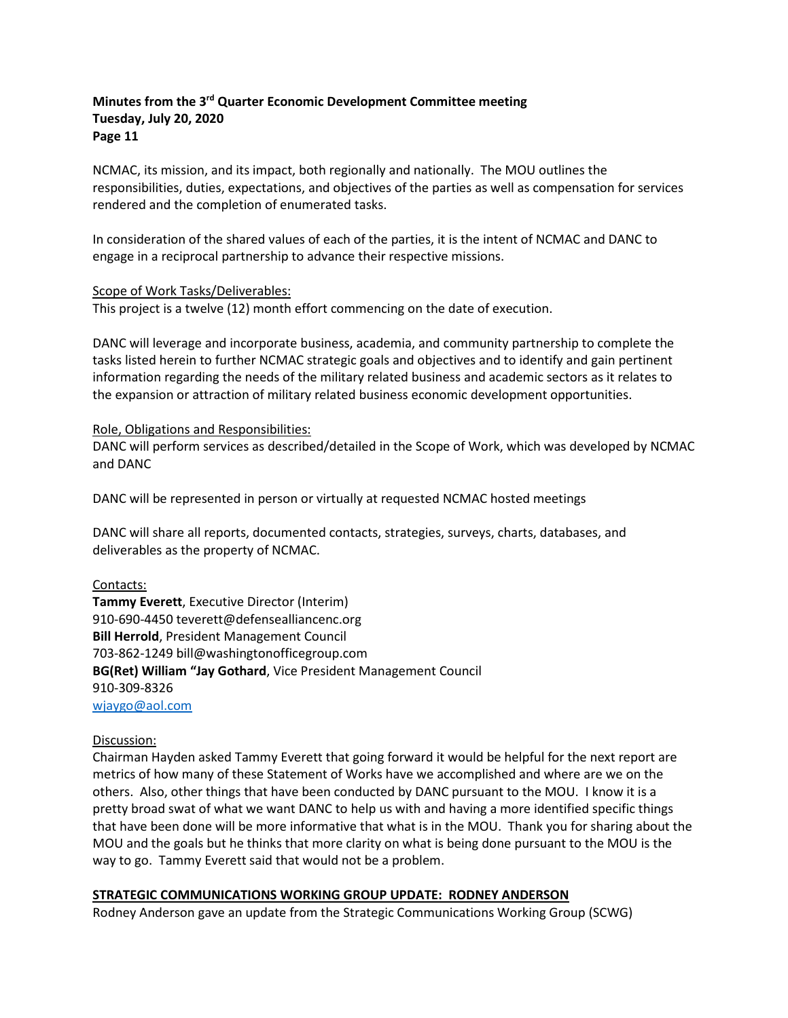NCMAC, its mission, and its impact, both regionally and nationally. The MOU outlines the responsibilities, duties, expectations, and objectives of the parties as well as compensation for services rendered and the completion of enumerated tasks.

In consideration of the shared values of each of the parties, it is the intent of NCMAC and DANC to engage in a reciprocal partnership to advance their respective missions.

#### Scope of Work Tasks/Deliverables:

This project is a twelve (12) month effort commencing on the date of execution.

DANC will leverage and incorporate business, academia, and community partnership to complete the tasks listed herein to further NCMAC strategic goals and objectives and to identify and gain pertinent information regarding the needs of the military related business and academic sectors as it relates to the expansion or attraction of military related business economic development opportunities.

#### Role, Obligations and Responsibilities:

DANC will perform services as described/detailed in the Scope of Work, which was developed by NCMAC and DANC

DANC will be represented in person or virtually at requested NCMAC hosted meetings

DANC will share all reports, documented contacts, strategies, surveys, charts, databases, and deliverables as the property of NCMAC.

#### Contacts:

**Tammy Everett**, Executive Director (Interim) 910-690-4450 teverett@defensealliancenc.org **Bill Herrold**, President Management Council 703-862-1249 bill@washingtonofficegroup.com **BG(Ret) William "Jay Gothard**, Vice President Management Council 910-309-8326 [wjaygo@aol.com](mailto:wjaygo@aol.com)

#### Discussion:

Chairman Hayden asked Tammy Everett that going forward it would be helpful for the next report are metrics of how many of these Statement of Works have we accomplished and where are we on the others. Also, other things that have been conducted by DANC pursuant to the MOU. I know it is a pretty broad swat of what we want DANC to help us with and having a more identified specific things that have been done will be more informative that what is in the MOU. Thank you for sharing about the MOU and the goals but he thinks that more clarity on what is being done pursuant to the MOU is the way to go. Tammy Everett said that would not be a problem.

#### **STRATEGIC COMMUNICATIONS WORKING GROUP UPDATE: RODNEY ANDERSON**

Rodney Anderson gave an update from the Strategic Communications Working Group (SCWG)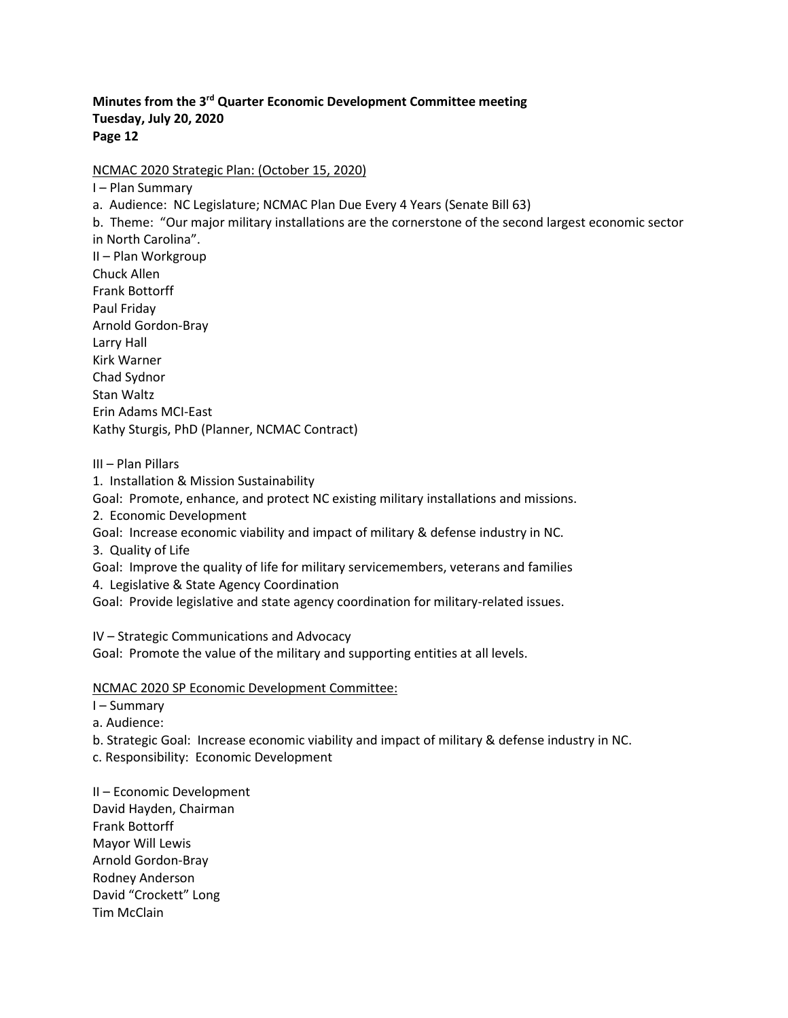NCMAC 2020 Strategic Plan: (October 15, 2020)

I – Plan Summary

a. Audience: NC Legislature; NCMAC Plan Due Every 4 Years (Senate Bill 63)

b. Theme: "Our major military installations are the cornerstone of the second largest economic sector in North Carolina".

II – Plan Workgroup Chuck Allen Frank Bottorff Paul Friday Arnold Gordon-Bray Larry Hall Kirk Warner Chad Sydnor Stan Waltz Erin Adams MCI-East Kathy Sturgis, PhD (Planner, NCMAC Contract)

III – Plan Pillars

1. Installation & Mission Sustainability

Goal: Promote, enhance, and protect NC existing military installations and missions.

2. Economic Development

Goal: Increase economic viability and impact of military & defense industry in NC.

3. Quality of Life

Goal: Improve the quality of life for military servicemembers, veterans and families

4. Legislative & State Agency Coordination

Goal: Provide legislative and state agency coordination for military-related issues.

IV – Strategic Communications and Advocacy

Goal: Promote the value of the military and supporting entities at all levels.

NCMAC 2020 SP Economic Development Committee:

I – Summary

a. Audience:

b. Strategic Goal: Increase economic viability and impact of military & defense industry in NC.

c. Responsibility: Economic Development

II – Economic Development David Hayden, Chairman Frank Bottorff Mayor Will Lewis Arnold Gordon-Bray Rodney Anderson David "Crockett" Long Tim McClain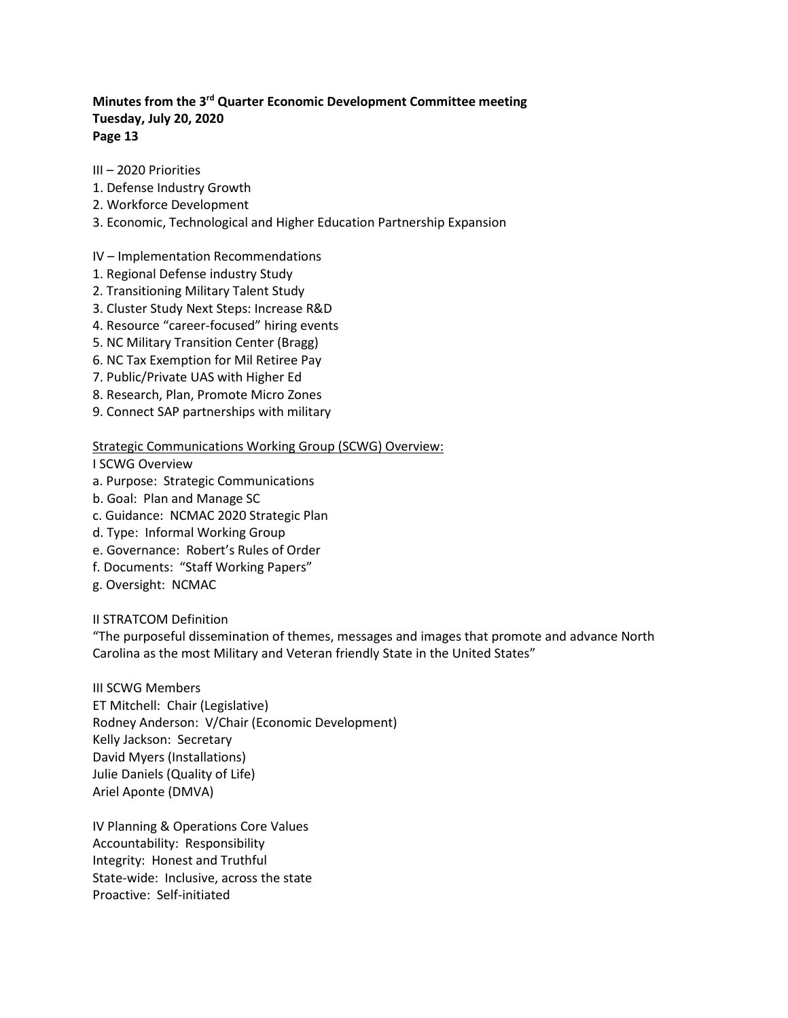- III 2020 Priorities
- 1. Defense Industry Growth
- 2. Workforce Development
- 3. Economic, Technological and Higher Education Partnership Expansion

#### IV – Implementation Recommendations

- 1. Regional Defense industry Study
- 2. Transitioning Military Talent Study
- 3. Cluster Study Next Steps: Increase R&D
- 4. Resource "career-focused" hiring events
- 5. NC Military Transition Center (Bragg)
- 6. NC Tax Exemption for Mil Retiree Pay
- 7. Public/Private UAS with Higher Ed
- 8. Research, Plan, Promote Micro Zones
- 9. Connect SAP partnerships with military

#### Strategic Communications Working Group (SCWG) Overview:

#### I SCWG Overview

- a. Purpose: Strategic Communications
- b. Goal: Plan and Manage SC
- c. Guidance: NCMAC 2020 Strategic Plan
- d. Type: Informal Working Group
- e. Governance: Robert's Rules of Order
- f. Documents: "Staff Working Papers"
- g. Oversight: NCMAC

II STRATCOM Definition

"The purposeful dissemination of themes, messages and images that promote and advance North Carolina as the most Military and Veteran friendly State in the United States"

III SCWG Members ET Mitchell: Chair (Legislative) Rodney Anderson: V/Chair (Economic Development) Kelly Jackson: Secretary David Myers (Installations) Julie Daniels (Quality of Life) Ariel Aponte (DMVA)

IV Planning & Operations Core Values Accountability: Responsibility Integrity: Honest and Truthful State-wide: Inclusive, across the state Proactive: Self-initiated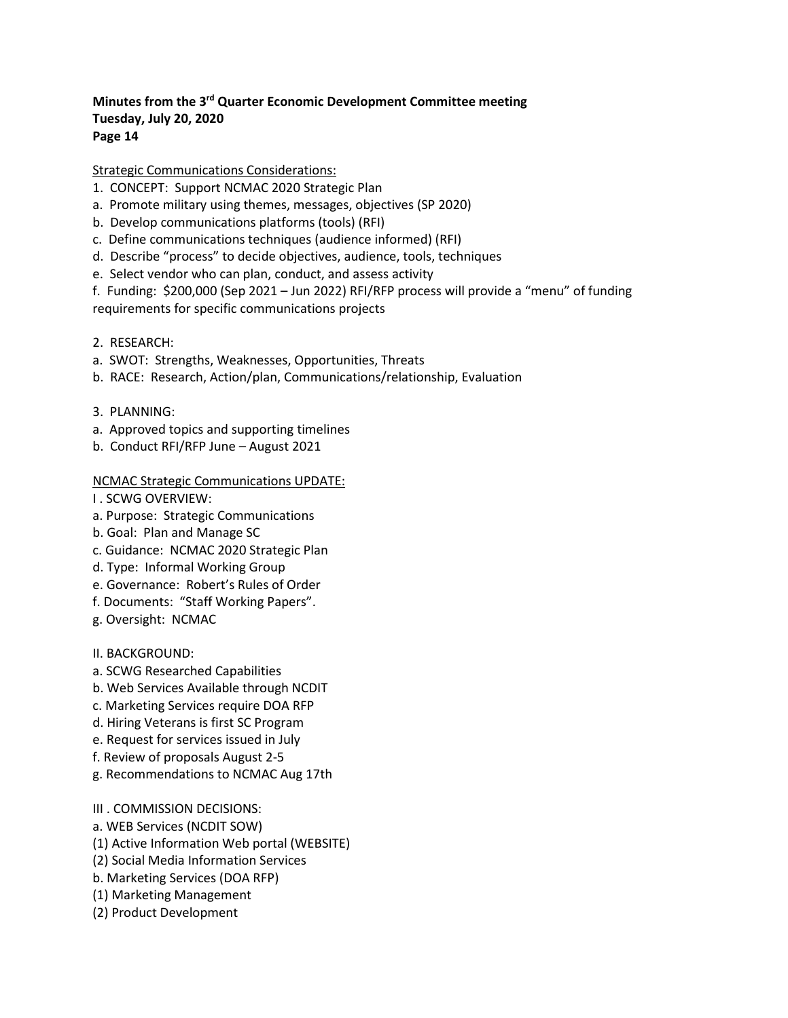#### Strategic Communications Considerations:

- 1. CONCEPT: Support NCMAC 2020 Strategic Plan
- a. Promote military using themes, messages, objectives (SP 2020)
- b. Develop communications platforms (tools) (RFI)
- c. Define communications techniques (audience informed) (RFI)
- d. Describe "process" to decide objectives, audience, tools, techniques
- e. Select vendor who can plan, conduct, and assess activity
- f. Funding: \$200,000 (Sep 2021 Jun 2022) RFI/RFP process will provide a "menu" of funding requirements for specific communications projects
- 2. RESEARCH:
- a. SWOT: Strengths, Weaknesses, Opportunities, Threats
- b. RACE: Research, Action/plan, Communications/relationship, Evaluation
- 3. PLANNING:
- a. Approved topics and supporting timelines
- b. Conduct RFI/RFP June August 2021

#### NCMAC Strategic Communications UPDATE:

- I . SCWG OVERVIEW:
- a. Purpose: Strategic Communications
- b. Goal: Plan and Manage SC
- c. Guidance: NCMAC 2020 Strategic Plan
- d. Type: Informal Working Group
- e. Governance: Robert's Rules of Order
- f. Documents: "Staff Working Papers".
- g. Oversight: NCMAC
- II. BACKGROUND:
- a. SCWG Researched Capabilities
- b. Web Services Available through NCDIT
- c. Marketing Services require DOA RFP
- d. Hiring Veterans is first SC Program
- e. Request for services issued in July
- f. Review of proposals August 2-5
- g. Recommendations to NCMAC Aug 17th
- III . COMMISSION DECISIONS:
- a. WEB Services (NCDIT SOW)
- (1) Active Information Web portal (WEBSITE)
- (2) Social Media Information Services
- b. Marketing Services (DOA RFP)
- (1) Marketing Management
- (2) Product Development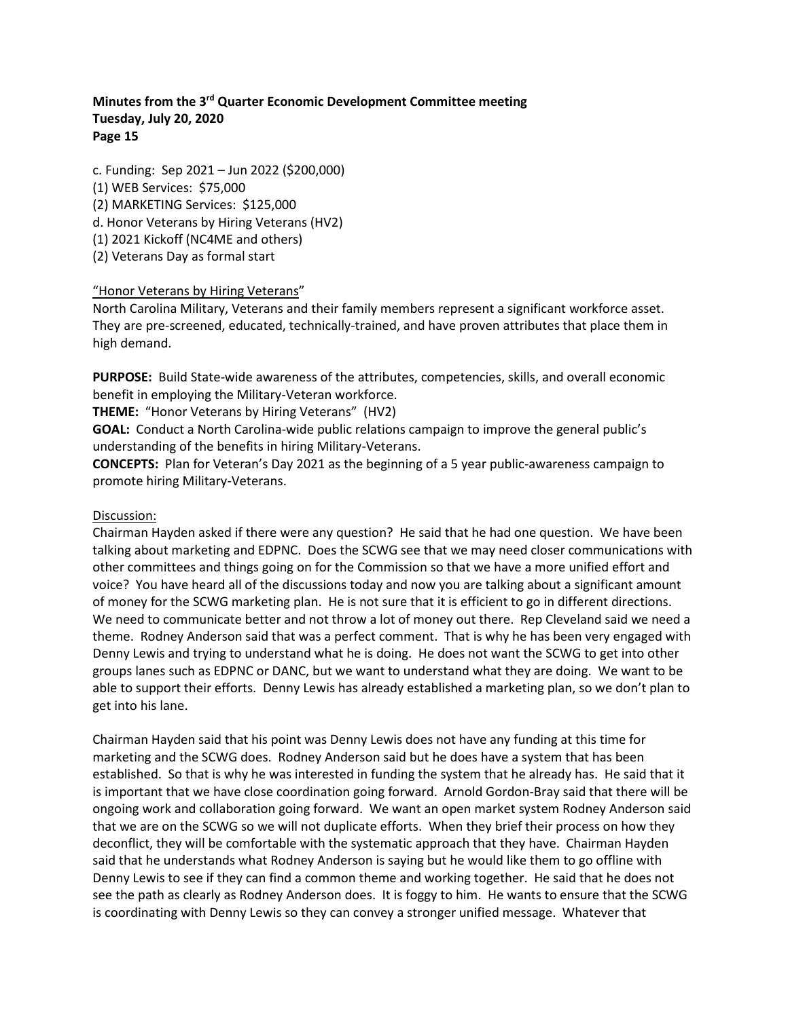c. Funding: Sep 2021 – Jun 2022 (\$200,000) (1) WEB Services: \$75,000 (2) MARKETING Services: \$125,000 d. Honor Veterans by Hiring Veterans (HV2) (1) 2021 Kickoff (NC4ME and others) (2) Veterans Day as formal start

#### "Honor Veterans by Hiring Veterans"

North Carolina Military, Veterans and their family members represent a significant workforce asset. They are pre-screened, educated, technically-trained, and have proven attributes that place them in high demand.

**PURPOSE:** Build State-wide awareness of the attributes, competencies, skills, and overall economic benefit in employing the Military-Veteran workforce.

**THEME:** "Honor Veterans by Hiring Veterans" (HV2)

**GOAL:** Conduct a North Carolina-wide public relations campaign to improve the general public's understanding of the benefits in hiring Military-Veterans.

**CONCEPTS:** Plan for Veteran's Day 2021 as the beginning of a 5 year public-awareness campaign to promote hiring Military-Veterans.

#### Discussion:

Chairman Hayden asked if there were any question? He said that he had one question. We have been talking about marketing and EDPNC. Does the SCWG see that we may need closer communications with other committees and things going on for the Commission so that we have a more unified effort and voice? You have heard all of the discussions today and now you are talking about a significant amount of money for the SCWG marketing plan. He is not sure that it is efficient to go in different directions. We need to communicate better and not throw a lot of money out there. Rep Cleveland said we need a theme. Rodney Anderson said that was a perfect comment. That is why he has been very engaged with Denny Lewis and trying to understand what he is doing. He does not want the SCWG to get into other groups lanes such as EDPNC or DANC, but we want to understand what they are doing. We want to be able to support their efforts. Denny Lewis has already established a marketing plan, so we don't plan to get into his lane.

Chairman Hayden said that his point was Denny Lewis does not have any funding at this time for marketing and the SCWG does. Rodney Anderson said but he does have a system that has been established. So that is why he was interested in funding the system that he already has. He said that it is important that we have close coordination going forward. Arnold Gordon-Bray said that there will be ongoing work and collaboration going forward. We want an open market system Rodney Anderson said that we are on the SCWG so we will not duplicate efforts. When they brief their process on how they deconflict, they will be comfortable with the systematic approach that they have. Chairman Hayden said that he understands what Rodney Anderson is saying but he would like them to go offline with Denny Lewis to see if they can find a common theme and working together. He said that he does not see the path as clearly as Rodney Anderson does. It is foggy to him. He wants to ensure that the SCWG is coordinating with Denny Lewis so they can convey a stronger unified message. Whatever that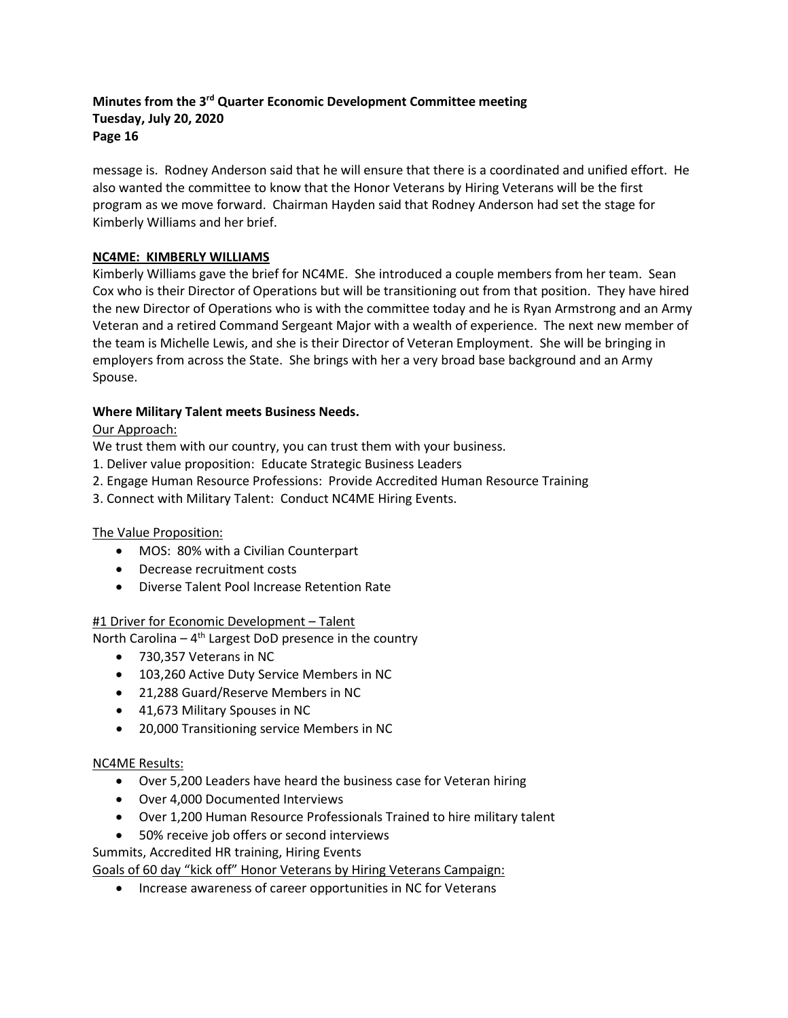message is. Rodney Anderson said that he will ensure that there is a coordinated and unified effort. He also wanted the committee to know that the Honor Veterans by Hiring Veterans will be the first program as we move forward. Chairman Hayden said that Rodney Anderson had set the stage for Kimberly Williams and her brief.

### **NC4ME: KIMBERLY WILLIAMS**

Kimberly Williams gave the brief for NC4ME. She introduced a couple members from her team. Sean Cox who is their Director of Operations but will be transitioning out from that position. They have hired the new Director of Operations who is with the committee today and he is Ryan Armstrong and an Army Veteran and a retired Command Sergeant Major with a wealth of experience. The next new member of the team is Michelle Lewis, and she is their Director of Veteran Employment. She will be bringing in employers from across the State. She brings with her a very broad base background and an Army Spouse.

### **Where Military Talent meets Business Needs.**

### Our Approach:

We trust them with our country, you can trust them with your business.

- 1. Deliver value proposition: Educate Strategic Business Leaders
- 2. Engage Human Resource Professions: Provide Accredited Human Resource Training
- 3. Connect with Military Talent: Conduct NC4ME Hiring Events.

#### The Value Proposition:

- MOS: 80% with a Civilian Counterpart
- Decrease recruitment costs
- Diverse Talent Pool Increase Retention Rate

#### #1 Driver for Economic Development – Talent

North Carolina –  $4<sup>th</sup>$  Largest DoD presence in the country

- 730,357 Veterans in NC
- 103,260 Active Duty Service Members in NC
- 21,288 Guard/Reserve Members in NC
- 41,673 Military Spouses in NC
- 20,000 Transitioning service Members in NC

#### NC4ME Results:

- Over 5,200 Leaders have heard the business case for Veteran hiring
- Over 4,000 Documented Interviews
- Over 1,200 Human Resource Professionals Trained to hire military talent
- 50% receive job offers or second interviews

Summits, Accredited HR training, Hiring Events

Goals of 60 day "kick off" Honor Veterans by Hiring Veterans Campaign:

• Increase awareness of career opportunities in NC for Veterans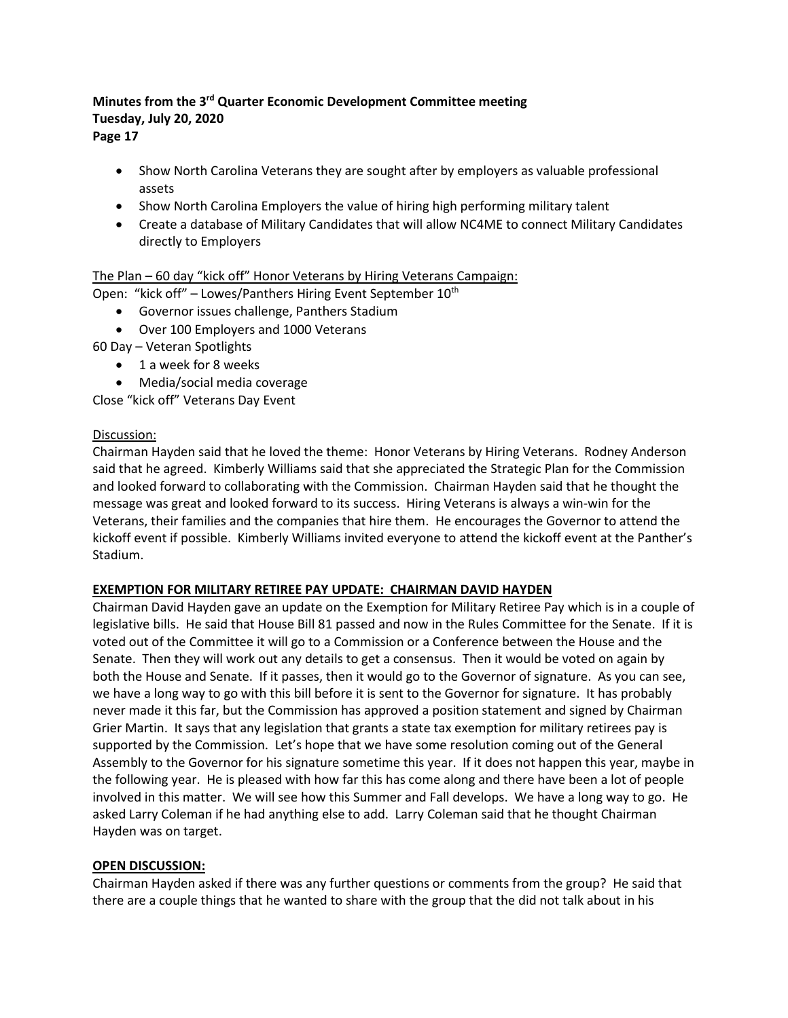- Show North Carolina Veterans they are sought after by employers as valuable professional assets
- Show North Carolina Employers the value of hiring high performing military talent
- Create a database of Military Candidates that will allow NC4ME to connect Military Candidates directly to Employers

# The Plan – 60 day "kick off" Honor Veterans by Hiring Veterans Campaign:

- Open: "kick off" Lowes/Panthers Hiring Event September 10<sup>th</sup>
	- Governor issues challenge, Panthers Stadium
	- Over 100 Employers and 1000 Veterans
- 60 Day Veteran Spotlights
	- 1 a week for 8 weeks
	- Media/social media coverage

Close "kick off" Veterans Day Event

#### Discussion:

Chairman Hayden said that he loved the theme: Honor Veterans by Hiring Veterans. Rodney Anderson said that he agreed. Kimberly Williams said that she appreciated the Strategic Plan for the Commission and looked forward to collaborating with the Commission. Chairman Hayden said that he thought the message was great and looked forward to its success. Hiring Veterans is always a win-win for the Veterans, their families and the companies that hire them. He encourages the Governor to attend the kickoff event if possible. Kimberly Williams invited everyone to attend the kickoff event at the Panther's Stadium.

# **EXEMPTION FOR MILITARY RETIREE PAY UPDATE: CHAIRMAN DAVID HAYDEN**

Chairman David Hayden gave an update on the Exemption for Military Retiree Pay which is in a couple of legislative bills. He said that House Bill 81 passed and now in the Rules Committee for the Senate. If it is voted out of the Committee it will go to a Commission or a Conference between the House and the Senate. Then they will work out any details to get a consensus. Then it would be voted on again by both the House and Senate. If it passes, then it would go to the Governor of signature. As you can see, we have a long way to go with this bill before it is sent to the Governor for signature. It has probably never made it this far, but the Commission has approved a position statement and signed by Chairman Grier Martin. It says that any legislation that grants a state tax exemption for military retirees pay is supported by the Commission. Let's hope that we have some resolution coming out of the General Assembly to the Governor for his signature sometime this year. If it does not happen this year, maybe in the following year. He is pleased with how far this has come along and there have been a lot of people involved in this matter. We will see how this Summer and Fall develops. We have a long way to go. He asked Larry Coleman if he had anything else to add. Larry Coleman said that he thought Chairman Hayden was on target.

#### **OPEN DISCUSSION:**

Chairman Hayden asked if there was any further questions or comments from the group? He said that there are a couple things that he wanted to share with the group that the did not talk about in his